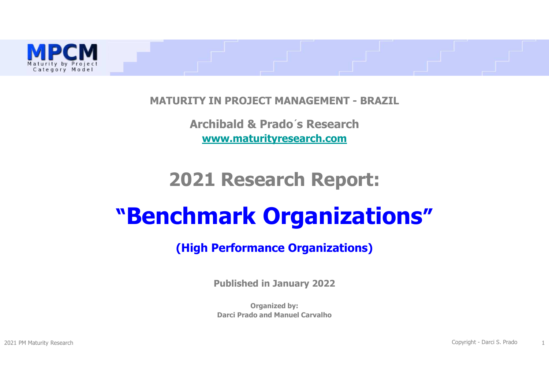

**MATURITY IN PROJECT MANAGEMENT - BRAZIL**

**Archibald & Prado´s Researchwww.maturityresearch.com**

# **2021 Research Report:**

# **"Benchmark Organizations"**

### **(High Performance Organizations)**

**Published in January 2022**

**Organized by:Darci Prado and Manuel Carvalho** 

2021 PM Maturity Research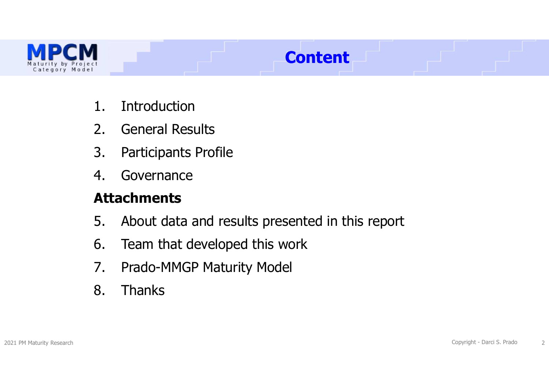

# **Content**

- 1. Introduction<br>2. General Resu
- 2. General Results<br>3. Participants Pro
- 3. Participants Profile<br>4. Governance
- **Governance**

### **Attachments**

- 5. About data and results presented in this report<br>6. Team that developed this work
- 6. Team that developed this work<br>7. Prado-MMGP Maturity Model
- 7. Prado-MMGP Maturity Model<br>8. Thanks
- **Thanks**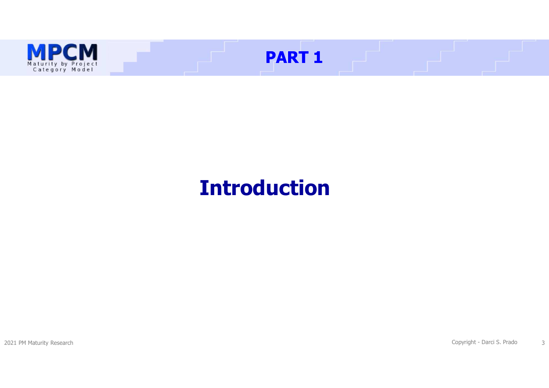

# **Introduction**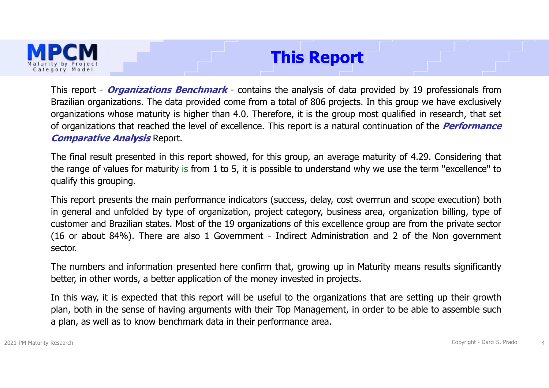

### **This Report**

This report - **Organizations Benchmark** - contains the analysis of data provided by <sup>19</sup> professionals from Brazilian organizations. The data provided come from <sup>a</sup> total of <sup>806</sup> projects. In this group we have exclusively organizations whose maturity is higher than 4.0. Therefore, it is the group most qualified in research, that set of organizations that reached the level of excellence. This report is <sup>a</sup> natural continuation of the **Performance Comparative Analysis** Report.

The final result presented in this report showed, for this group, an average maturity of 4.29. Considering that the range of values for maturity is from <sup>1</sup> to 5, it is possible to understand why we use the term "excellence" to qualify this grouping.

This report presents the main performance indicators (success, delay, cost overrrun and scope execution) both in general and unfolded by type of organization, project category, business area, organization billing, type of customer and Brazilian states. Most of the <sup>19</sup> organizations of this excellence group are from the private sector (16 or about 84%). There are also <sup>1</sup> Government - Indirect Administration and <sup>2</sup> of the Non government sector.

The numbers and information presented here confirm that, growing up in Maturity means results significantly better, in other words, <sup>a</sup> better application of the money invested in projects.

In this way, it is expected that this report will be useful to the organizations that are setting up their growth plan, both in the sense of having arguments with their Top Management, in order to be able to assemble such <sup>a</sup> plan, as well as to know benchmark data in their performance area.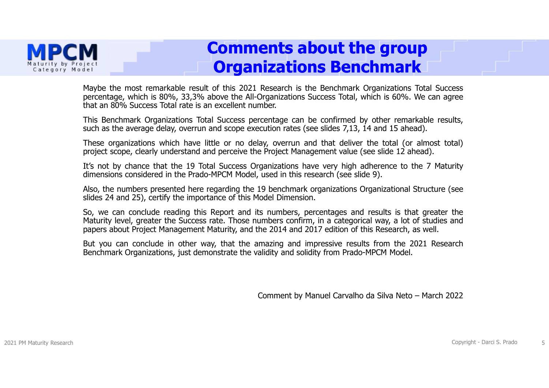

### **Comments about the group Organizations Benchmark**

Maybe the most remarkable result of this <sup>2021</sup> Research is the Benchmark Organizations Total Success percentage, which is 80%, 33,3% above the All-Organizations Success Total, which is 60%. We can agree that an 80% Success Total rate is an excellent number.

This Benchmark Organizations Total Success percentage can be confirmed by other remarkable results, such as the average delay, overrun and scope execution rates (see slides 7,13, 14 and 15 ahead).<br>These organizations which have little or no delay, overrun and that deliver the total (or almost total)

These organizations which have little or no delay, overrun and that deliver the total (or almost total)<br>project scope, clearly understand and perceive the Project Management value (see slide 12 ahead). project scope, clearly understand and perceive the Project Management value (see slide <sup>12</sup> ahead).

It's not by chance that the <sup>19</sup> Total Success Organizations have very high adherence to the <sup>7</sup> Maturity dimensions considered in the Prado-MPCM Model, used in this research (see slide 9).

Also, the numbers presented here regarding the <sup>19</sup> benchmark organizations Organizational Structure (see slides <sup>24</sup> and 25), certify the importance of this Model Dimension.

So, we can conclude reading this Report and its numbers, percentages and results is that greater the Maturity level, greater the Success rate. Those numbers confirm, in <sup>a</sup> categorical way, <sup>a</sup> lot of studies and papers about Project Management Maturity, and the <sup>2014</sup> and <sup>2017</sup> edition of this Research, as well.

But you can conclude in other way, that the amazing and impressive results from the <sup>2021</sup> Research Benchmark Organizations, just demonstrate the validity and solidity from Prado-MPCM Model.

Comment by Manuel Carvalho da Silva Neto – March 2022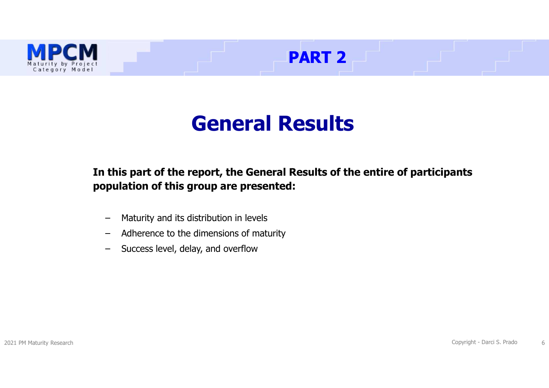

# **General Results**

**PART 2** 

**In this part of the report, the General Results of the entire of participants population of this group are presented:**

- –Maturity and its distribution in levels
- –Adherence to the dimensions of maturity
- –Success level, delay, and overflow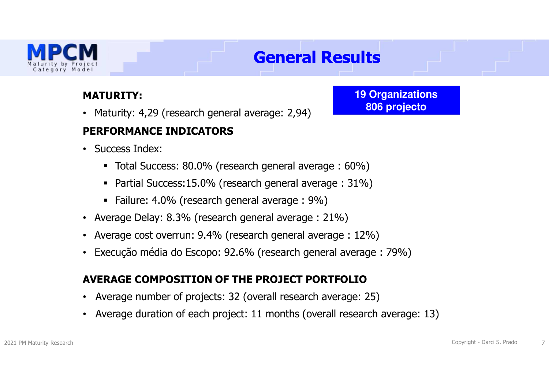

# **General Results**

### **MATURITY:**

• Maturity: 4,29 (research general average: 2,94)

### **PERFORMANCE INDICATORS**

- Success Index:
	- Total Success: 80.0% (research general average : 60%)
	- Partial Success:15.0% (research general average : 31%)
	- Failure: 4.0% (research general average : 9%)
- Average Delay: 8.3% (research general average : 21%)
- Average cost overrun: 9.4% (research general average : 12%)
- Execução média do Escopo: 92.6% (research general average : 79%)

### **AVERAGE COMPOSITION OF THE PROJECT PORTFOLIO**

- Average number of projects: 32 (overall research average: 25)
- Average duration of each project: 11 months (overall research average: 13)

**19 Organizations806 projecto**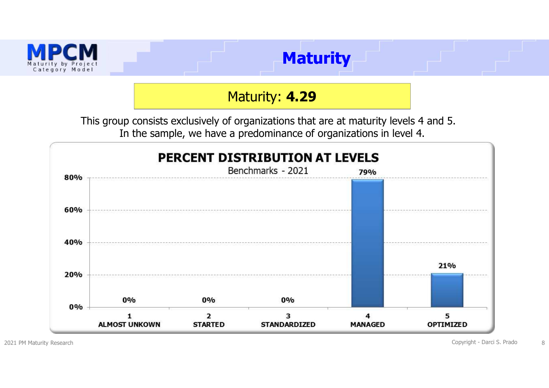

Maturity: **4.29**

This group consists exclusively of organizations that are at maturity levels 4 and 5. In the sample, we have a predominance of organizations in level 4.



en and the Copyright - Darci S. Prado and the Copyright - Darci S. Prado and the S. S. Prado and the S. A. S. S. A. S. A. S. A. S. A. S. A. S. A. S. A. S. A. S. A. S. A. S. A. S. A. S. A. S. A. S. A. S. A. S. A. S. A. S. A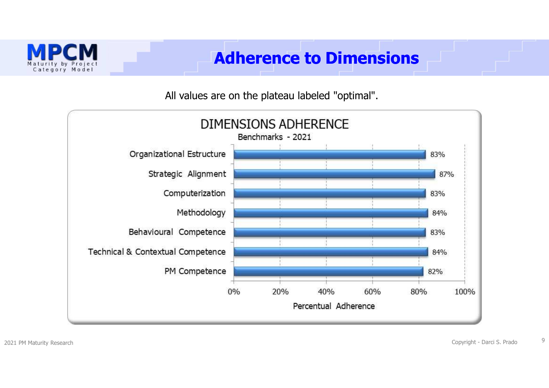

### **Adherence to Dimensions**

### All values are on the plateau labeled "optimal".

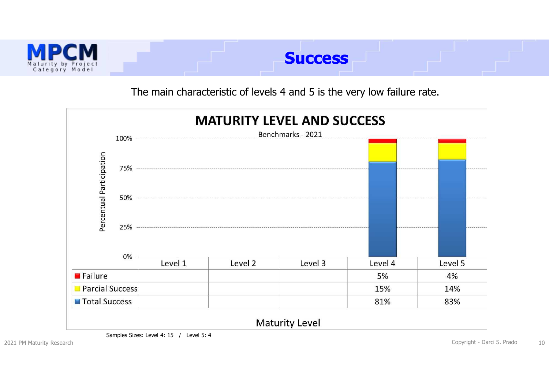

The main characteristic of levels 4 and 5 is the very low failure rate.



Samples Sizes: Level 4: 15 / Level 5: 4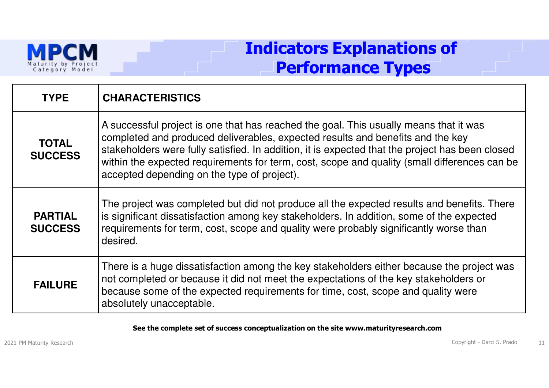

### **Indicators Explanations ofPerformance Types**

| <b>TYPE</b>                      | <b>CHARACTERISTICS</b>                                                                                                                                                                                                                                                                                                                                                                                                    |
|----------------------------------|---------------------------------------------------------------------------------------------------------------------------------------------------------------------------------------------------------------------------------------------------------------------------------------------------------------------------------------------------------------------------------------------------------------------------|
| <b>TOTAL</b><br><b>SUCCESS</b>   | A successful project is one that has reached the goal. This usually means that it was<br>completed and produced deliverables, expected results and benefits and the key<br>stakeholders were fully satisfied. In addition, it is expected that the project has been closed<br>within the expected requirements for term, cost, scope and quality (small differences can be<br>accepted depending on the type of project). |
| <b>PARTIAL</b><br><b>SUCCESS</b> | The project was completed but did not produce all the expected results and benefits. There<br>is significant dissatisfaction among key stakeholders. In addition, some of the expected<br>requirements for term, cost, scope and quality were probably significantly worse than<br>desired.                                                                                                                               |
| <b>FAILURE</b>                   | There is a huge dissatisfaction among the key stakeholders either because the project was<br>not completed or because it did not meet the expectations of the key stakeholders or<br>because some of the expected requirements for time, cost, scope and quality were<br>absolutely unacceptable.                                                                                                                         |

#### **See the complete set of success conceptualization on the site www.maturityresearch.com**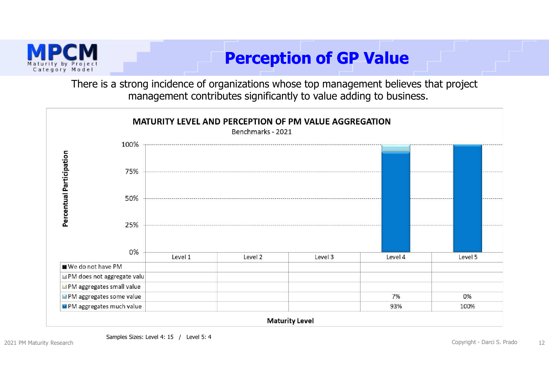

# **Perception of GP Value**

There is a strong incidence of organizations whose top management believes that project management contributes significantly to value adding to business.



2021 PM Maturity Research

egory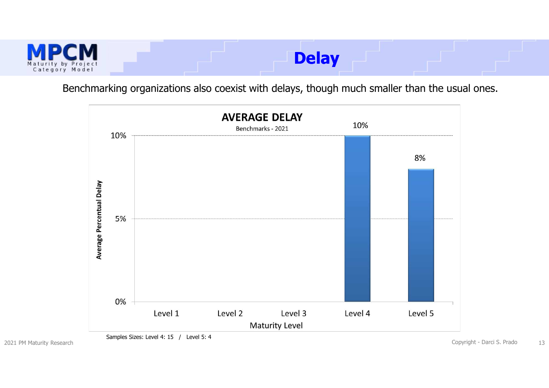

Benchmarking organizations also coexist with delays, though much smaller than the usual ones.



Samples Sizes: Level 4: 15 / Level 5: 4

2021 PM Maturity Research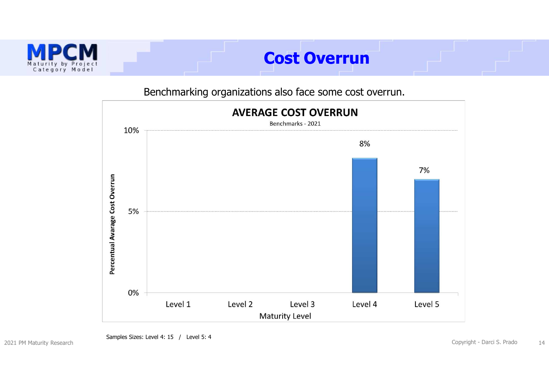

### **Cost Overrun**

### Benchmarking organizations also face some cost overrun.



Samples Sizes: Level 4: 15 / Level 5: 4

Copyright - Darci S. Prado <sup>14</sup>

2021 PM Maturity Research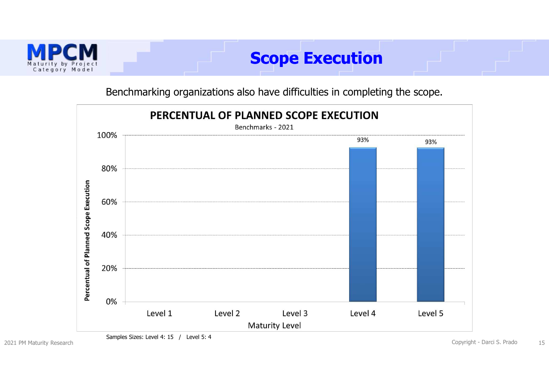

### Benchmarking organizations also have difficulties in completing the scope.



Samples Sizes: Level 4: 15 / Level 5: 4

2021 PM Maturity Research

Copyright - Darci S. Prado <sup>15</sup>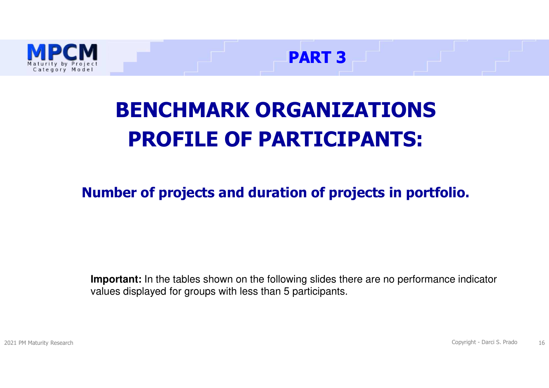



# **BENCHMARK ORGANIZATIONSPROFILE OF PARTICIPANTS:**

**Number of projects and duration of projects in portfolio.**

**Important:** In the tables shown on the following slides there are no performance indicator values displayed for groups with less than 5 participants.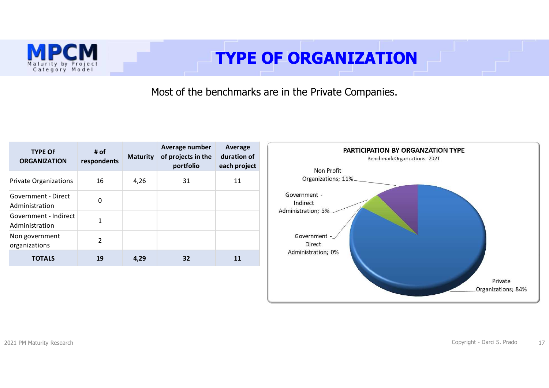# **TYPE OF ORGANIZATION**

Most of the benchmarks are in the Private Companies.

| <b>TYPE OF</b><br><b>ORGANIZATION</b>   | # $of$<br>respondents | <b>Maturity</b> | Average number<br>of projects in the<br>portfolio | Average<br>duration of<br>each project |
|-----------------------------------------|-----------------------|-----------------|---------------------------------------------------|----------------------------------------|
| <b>Private Organizations</b>            | 16                    | 4,26            | 31                                                | 11                                     |
| Government - Direct<br>Administration   | 0                     |                 |                                                   |                                        |
| Government - Indirect<br>Administration | 1                     |                 |                                                   |                                        |
| Non government<br>organizations         | $\mathfrak{p}$        |                 |                                                   |                                        |
| <b>TOTALS</b>                           | 19                    | 4,29            | 32                                                | 11                                     |



Р

Maturity by Project<br>Category Model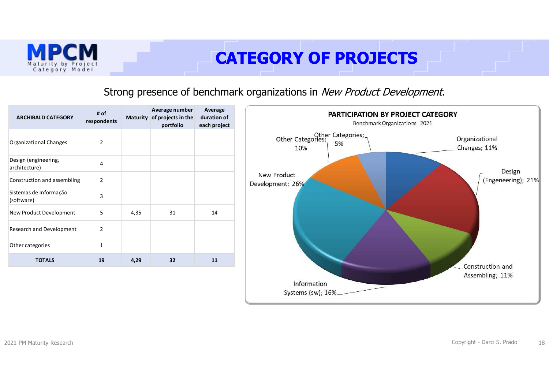

# **CATEGORY OF PROJECTS**

### Strong presence of benchmark organizations in New Product Development.

| <b>ARCHIBALD CATEGORY</b>             | # of<br>respondents |      | Average number<br>Maturity of projects in the<br>portfolio | Average<br>duration of<br>each project | PARTICIPATION BY PROJECT CATEGORY<br>Benchmark Organizations - 2021                          |
|---------------------------------------|---------------------|------|------------------------------------------------------------|----------------------------------------|----------------------------------------------------------------------------------------------|
| Organizational Changes                | $\overline{2}$      |      |                                                            |                                        | Other Categories;<br>Other Categories;<br>Fox<br>Organizational<br>5%<br>Changes; 11%<br>10% |
| Design (engineering,<br>architecture) | 4                   |      |                                                            |                                        | Design                                                                                       |
| Construction and assembling           | $\overline{2}$      |      |                                                            |                                        | New Product<br>(Engeneering); 21%<br>Development; 26%                                        |
| Sistemas de Informação<br>(software)  | 3                   |      |                                                            |                                        |                                                                                              |
| New Product Development               | 5                   | 4,35 | 31                                                         | 14                                     |                                                                                              |
| Research and Development              | $\overline{2}$      |      |                                                            |                                        |                                                                                              |
| Other categories                      | $\mathbf{1}$        |      |                                                            |                                        |                                                                                              |
| <b>TOTALS</b>                         | 19                  | 4,29 | 32                                                         | 11                                     | Construction and                                                                             |
|                                       |                     |      |                                                            |                                        | Assembling; 11%<br>Information                                                               |
|                                       |                     |      |                                                            |                                        | Systems (sw); 16%_                                                                           |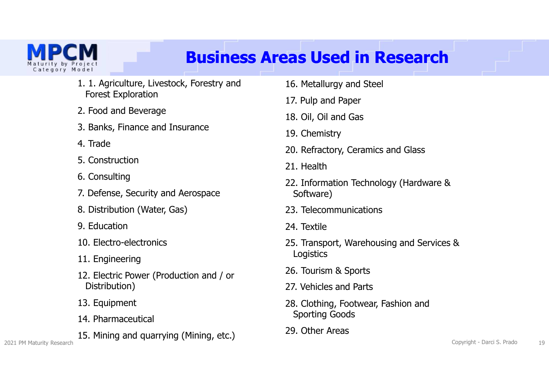

# **Business Areas Used in Research**

- 1. 1. Agriculture, Livestock, Forestry and Forest Exploration
- 2. Food and Beverage
- 3. Banks, Finance and Insurance
- 4. Trade
- 5. Construction
- 6. Consulting
- 7. Defense, Security and Aerospace
- 8. Distribution (Water, Gas)
- 9. Education
- 10. Electro-electronics
- 11. Engineering
- 12. Electric Power (Production and / or Distribution)
- 13. Equipment
- 14. Pharmaceutical
- 15. Mining and quarrying (Mining, etc.)
- 16. Metallurgy and Steel
- 17. Pulp and Paper
- 18. Oil, Oil and Gas
- 19. Chemistry
- 20. Refractory, Ceramics and Glass
- 21. Health
- 22. Information Technology (Hardware & Software)
- 23. Telecommunications
- 24. Textile
- 25. Transport, Warehousing and Services & **Logistics**
- 26. Tourism & Sports
- 27. Vehicles and Parts
- 28. Clothing, Footwear, Fashion and Sporting Goods
- 29. Other Areas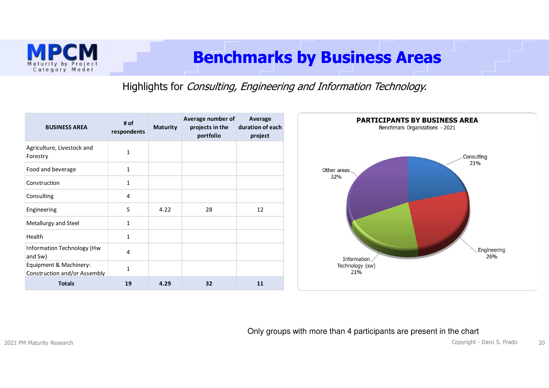

### **Benchmarks by Business Areas**

Highlights for Consulting, Engineering and Information Technology.



#### Only groups with more than 4 participants are present in the chart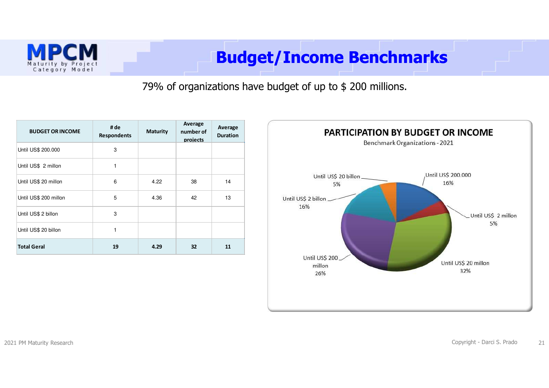

# **Budget/Income Benchmarks**

79% of organizations have budget of up to \$ 200 millions.

| <b>BUDGET OR INCOME</b> | # de<br><b>Respondents</b> | <b>Maturity</b> | Average<br>number of<br>projects | Average<br><b>Duration</b> |
|-------------------------|----------------------------|-----------------|----------------------------------|----------------------------|
| Until US\$ 200.000      | 3                          |                 |                                  |                            |
| Until US\$ 2 millon     | 1                          |                 |                                  |                            |
| Until US\$ 20 millon    | 6                          | 4.22            | 38                               | 14                         |
| Until US\$ 200 millon   | 5                          | 4.36            | 42                               | 13                         |
| Until US\$ 2 billon     | 3                          |                 |                                  |                            |
| Until US\$ 20 billon    | 1                          |                 |                                  |                            |
| <b>Total Geral</b>      | 19                         | 4.29            | 32                               | 11                         |

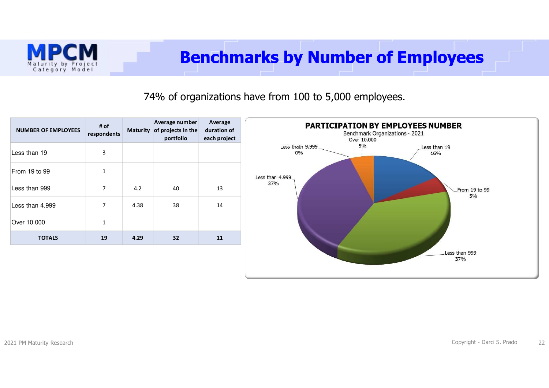

74% of organizations have from 100 to 5,000 employees.



Maturity by Project Category Model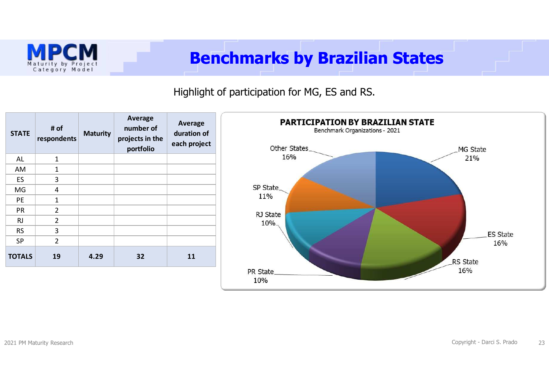

### **Benchmarks by Brazilian States**

### Highlight of participation for MG, ES and RS.

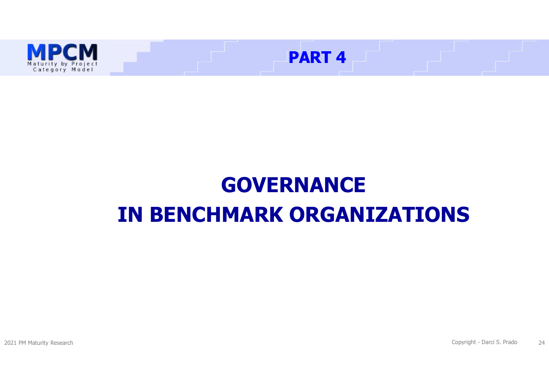

# **GOVERNANCE IN BENCHMARK ORGANIZATIONS**

2021 PM Maturity Research

Copyright - Darci S. Prado <sup>24</sup>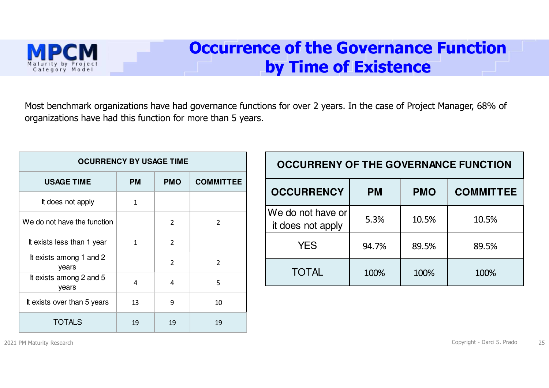

### **Occurrence of the Governance Function by Time of Existence**

Most benchmark organizations have had governance functions for over 2 years. In the case of Project Manager, 68% of organizations have had this function for more than 5 years.

| <b>OCURRENCY BY USAGE TIME</b>   |              |                |                  |  |  |
|----------------------------------|--------------|----------------|------------------|--|--|
| <b>USAGE TIME</b>                | <b>PM</b>    | <b>PMO</b>     | <b>COMMITTEE</b> |  |  |
| It does not apply                | 1            |                |                  |  |  |
| We do not have the function      |              | $\overline{2}$ | $\overline{2}$   |  |  |
| It exists less than 1 year       | $\mathbf{1}$ | $\overline{2}$ |                  |  |  |
| It exists among 1 and 2<br>years |              | $\overline{2}$ | $\overline{2}$   |  |  |
| It exists among 2 and 5<br>years | 4            | 4              | 5                |  |  |
| It exists over than 5 years      | 13           | 9              | 10               |  |  |
| <b>TOTALS</b>                    | 19           | 19             | 19               |  |  |

| <b>OCCURRENY OF THE GOVERNANCE FUNCTION</b> |           |            |                  |  |  |
|---------------------------------------------|-----------|------------|------------------|--|--|
| <b>OCCURRENCY</b>                           | <b>PM</b> | <b>PMO</b> | <b>COMMITTEE</b> |  |  |
| We do not have or<br>it does not apply      | 5.3%      | 10.5%      | 10.5%            |  |  |
| <b>YES</b>                                  | 94.7%     | 89.5%      | 89.5%            |  |  |
| <b>TOTAL</b>                                | 100%      | 100%       | 100%             |  |  |

2021 PM Maturity Research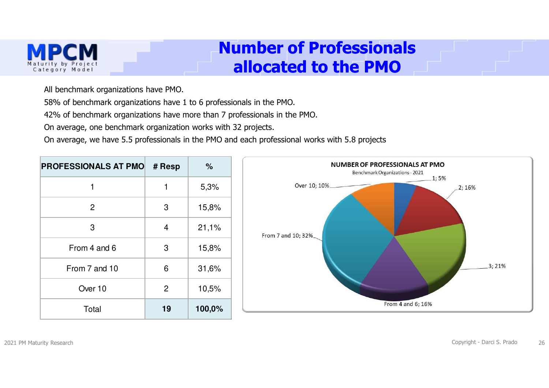

### **Number of Professionalsallocated to the PMO**

All benchmark organizations have PMO.

58% of benchmark organizations have 1 to 6 professionals in the PMO.

42% of benchmark organizations have more than 7 professionals in the PMO.

On average, one benchmark organization works with 32 projects.

On average, we have 5.5 professionals in the PMO and each professional works with 5.8 projects

| <b>PROFESSIONALS AT PMO</b> | # Resp         | %      | NUMBER OF PROFESSIONALS AT PMO<br>Benchmark Organizations - 2021 |
|-----------------------------|----------------|--------|------------------------------------------------------------------|
|                             | 1              | 5,3%   | .1;5%<br>Over 10; 10%<br>2; 16%                                  |
| $\overline{2}$              | 3              | 15,8%  |                                                                  |
| 3                           | $\overline{4}$ | 21,1%  | From 7 and 10; 32%                                               |
| From 4 and 6                | 3              | 15,8%  |                                                                  |
| From 7 and 10               | 6              | 31,6%  | 3;21%                                                            |
| Over 10                     | $\overline{2}$ | 10,5%  |                                                                  |
| Total                       | 19             | 100,0% | From 4 and 6; 16%                                                |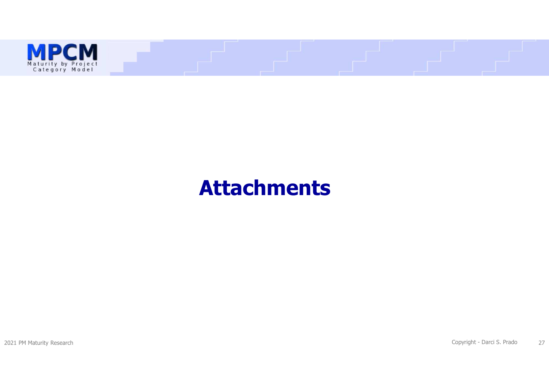

# **Attachments**

2021 PM Maturity Research

Copyright - Darci S. Prado <sup>27</sup>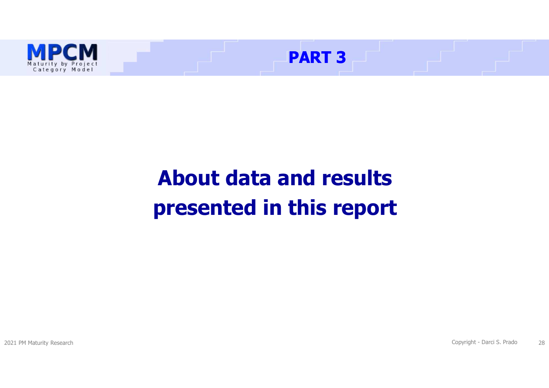

# **About data and results presented in this report**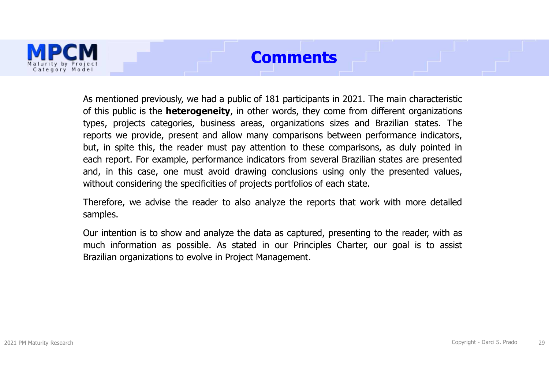### **Comments**



As mentioned previously, we had <sup>a</sup> public of <sup>181</sup> participants in 2021. The main characteristic of this public is the **heterogeneity**, in other words, they come from different organizations types, projects categories, business areas, organizations sizes and Brazilian states. The reports we provide, present and allow many comparisons between performance indicators, but, in spite this, the reader must pay attention to these comparisons, as duly pointed in each report. For example, performance indicators from several Brazilian states are presented and, in this case, one must avoid drawing conclusions using only the presented values, without considering the specificities of projects portfolios of each state.

Therefore, we advise the reader to also analyze the reports that work with more detailed samples.

Our intention is to show and analyze the data as captured, presenting to the reader, with as much information as possible. As stated in our Principles Charter, our goal is to assist Brazilian organizations to evolve in Project Management.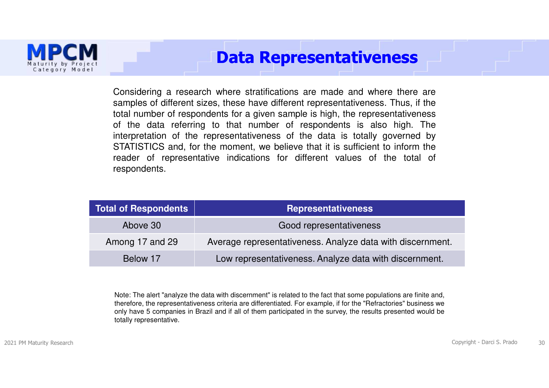

### **Data Representativeness**

Considering <sup>a</sup> research where stratifications are made and where there are samples of different sizes, these have different representativeness. Thus, if the total number of respondents for <sup>a</sup> given sample is high, the representativeness of the data referring to that number of respondents is also high. The interpretation of the representativeness of the data is totally governed by STATISTICS and, for the moment, we believe that it is sufficient to inform the reader of representative indications for different values of the total of respondents.

| <b>Total of Respondents</b> | <b>Representativeness</b>                                  |
|-----------------------------|------------------------------------------------------------|
| Above 30                    | Good representativeness                                    |
| Among 17 and 29             | Average representativeness. Analyze data with discernment. |
| Below 17                    | Low representativeness. Analyze data with discernment.     |

Note: The alert "analyze the data with discernment" is related to the fact that some populations are finite and, therefore, the representativeness criteria are differentiated. For example, if for the "Refractories" business we only have 5 companies in Brazil and if all of them participated in the survey, the results presented would be totally representative.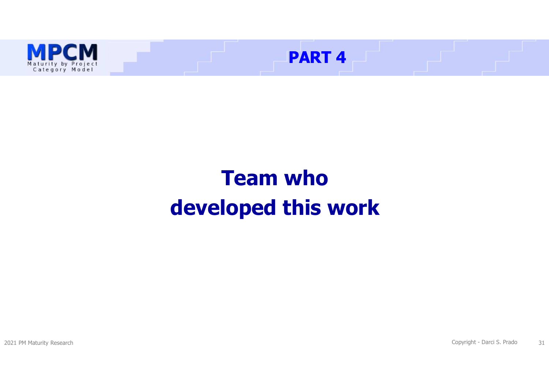

# **Team who developed this work**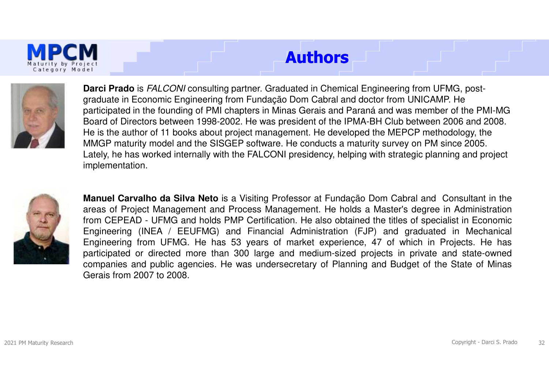# **Authors**



**Darci Prado** is FALCONI consulting partner. Graduated in Chemical Engineering from UFMG, postgraduate in Economic Engineering from Fundação Dom Cabral and doctor from UNICAMP. He participated in the founding of PMI chapters in Minas Gerais and Paraná and was member of the PMI-MG Board of Directors between 1998-2002. He was president of the IPMA-BH Club between 2006 and 2008. He is the author of 11 books about project management. He developed the MEPCP methodology, the MMGP maturity model and the SISGEP software. He conducts a maturity survey on PM since 2005. Lately, he has worked internally with the FALCONI presidency, helping with strategic planning and project implementation.



**Manuel Carvalho da Silva Neto** is <sup>a</sup> Visiting Professor at Fundação Dom Cabral and Consultant in the areas of Project Management and Process Management. He holds <sup>a</sup> Master's degree in Administration from CEPEAD - UFMG and holds PMP Certification. He also obtained the titles of specialist in Economic Engineering (INEA / EEUFMG) and Financial Administration (FJP) and graduated in Mechanical Engineering from UFMG. He has 53 years of market experience, 47 of which in Projects. He has participated or directed more than 300 large and medium-sized projects in private and state-owned companies and public agencies. He was undersecretary of Planning and Budget of the State of MinasGerais from 2007 to 2008.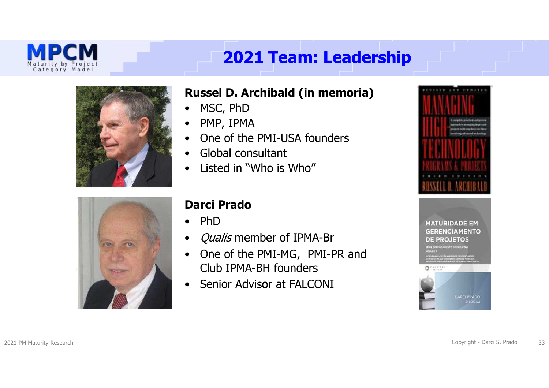

# **2021 Team: Leadership**





### **Russel D. Archibald (in memoria)**

- •MSC, PhD
- •PMP, IPMA
- $\bullet$ One of the PMI-USA founders
- $\bullet$ Global consultant
- $\bullet$ Listed in "Who is Who"

### **Darci Prado**

- $\bullet$ PhD
- $\bullet$ Qualis member of IPMA-Br
- $\bullet$  One of the PMI-MG, PMI-PR and Club IPMA-BH founders
- $\bullet$ Senior Advisor at FALCONI

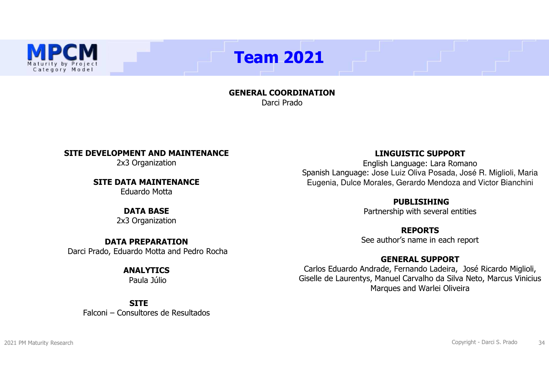# **Team 2021**

**GENERAL COORDINATION**Darci Prado

#### **SITE DEVELOPMENT AND MAINTENANCE**

2x3 Organization

**SITE DATA MAINTENANCE**

Eduardo Motta

#### **DATA BASE**

2x3 Organization

### **DATA PREPARATION**Darci Prado, Eduardo Motta and Pedro Rocha

#### **ANALYTICS**

Paula Júlio

#### **SITE**

Falconi – Consultores de Resultados

#### **LINGUISTIC SUPPORT**

English Language: Lara Romano<br>عدال عليه العديم العربية العديد Spanish Language: Jose Luiz Oliva Posada, José R. Miglioli, Maria Eugenia, Dulce Morales, Gerardo Mendoza and Victor Bianchini

#### **PUBLISIHING**

Partnership with several entities

#### **REPORTS**

See author's name in each report

#### **GENERAL SUPPORT**

 Carlos Eduardo Andrade, Fernando Ladeira, José Ricardo Miglioli, Giselle de Laurentys, Manuel Carvalho da Silva Neto, Marcus Vinicius Marques and Warlei Oliveira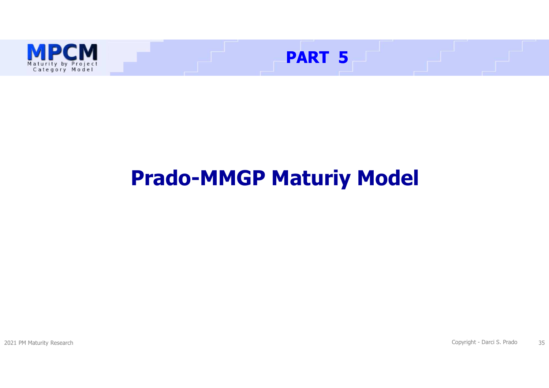

# **Prado-MMGP Maturiy Model**

2021 PM Maturity Research

Copyright - Darci S. Prado <sup>35</sup>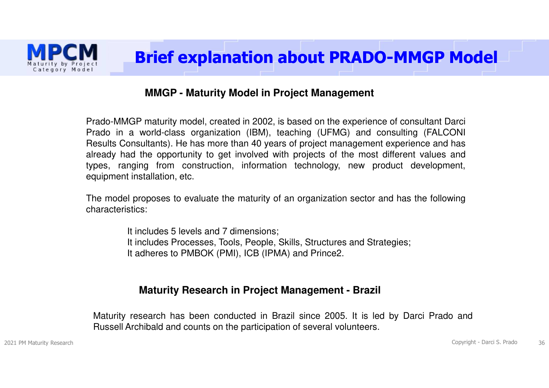

#### **MMGP - Maturity Model in Project Management**

Prado-MMGP maturity model, created in 2002, is based on the experience of consultant Darci Prado in <sup>a</sup> world-class organization (IBM), teaching (UFMG) and consulting (FALCONI Results Consultants). He has more than 40 years of project management experience and has already had the opportunity to get involved with projects of the most different values and types, ranging from construction, information technology, new product development, equipment installation, etc.

The model proposes to evaluate the maturity of an organization sector and has the followingcharacteristics:

> It includes 5 levels and 7 dimensions; It includes Processes, Tools, People, Skills, Structures and Strategies; It adheres to PMBOK (PMI), ICB (IPMA) and Prince2.

#### **Maturity Research in Project Management - Brazil**

Maturity research has been conducted in Brazil since 2005. It is led by Darci Prado andRussell Archibald and counts on the participation of several volunteers.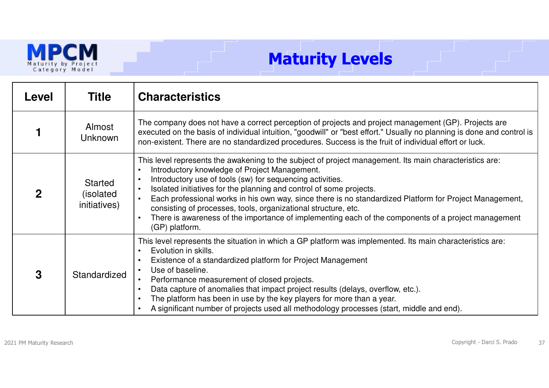

# **Maturity Levels**

| Level       | Title                                       | <b>Characteristics</b>                                                                                                                                                                                                                                                                                                                                                                                                                                                                                                                                                                             |
|-------------|---------------------------------------------|----------------------------------------------------------------------------------------------------------------------------------------------------------------------------------------------------------------------------------------------------------------------------------------------------------------------------------------------------------------------------------------------------------------------------------------------------------------------------------------------------------------------------------------------------------------------------------------------------|
|             | Almost<br><b>Unknown</b>                    | The company does not have a correct perception of projects and project management (GP). Projects are<br>executed on the basis of individual intuition, "goodwill" or "best effort." Usually no planning is done and control is<br>non-existent. There are no standardized procedures. Success is the fruit of individual effort or luck.                                                                                                                                                                                                                                                           |
| $\mathbf 2$ | <b>Started</b><br>(isolated<br>initiatives) | This level represents the awakening to the subject of project management. Its main characteristics are:<br>Introductory knowledge of Project Management.<br>Introductory use of tools (sw) for sequencing activities.<br>Isolated initiatives for the planning and control of some projects.<br>Each professional works in his own way, since there is no standardized Platform for Project Management,<br>consisting of processes, tools, organizational structure, etc.<br>There is awareness of the importance of implementing each of the components of a project management<br>(GP) platform. |
| 3           | Standardized                                | This level represents the situation in which a GP platform was implemented. Its main characteristics are:<br>Evolution in skills.<br>Existence of a standardized platform for Project Management<br>Use of baseline.<br>Performance measurement of closed projects.<br>Data capture of anomalies that impact project results (delays, overflow, etc.).<br>The platform has been in use by the key players for more than a year.<br>A significant number of projects used all methodology processes (start, middle and end).                                                                        |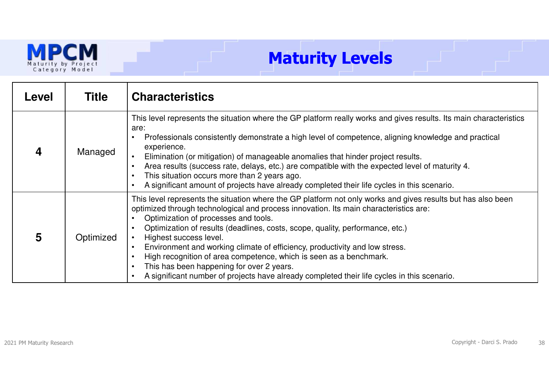

# **Maturity Levels**

| Level | <b>Title</b> | <b>Characteristics</b>                                                                                                                                                                                                                                                                                                                                                                                                                                                                                                                                                                                                                                    |
|-------|--------------|-----------------------------------------------------------------------------------------------------------------------------------------------------------------------------------------------------------------------------------------------------------------------------------------------------------------------------------------------------------------------------------------------------------------------------------------------------------------------------------------------------------------------------------------------------------------------------------------------------------------------------------------------------------|
|       | Managed      | This level represents the situation where the GP platform really works and gives results. Its main characteristics<br>are:<br>Professionals consistently demonstrate a high level of competence, aligning knowledge and practical<br>experience.<br>Elimination (or mitigation) of manageable anomalies that hinder project results.<br>Area results (success rate, delays, etc.) are compatible with the expected level of maturity 4.<br>This situation occurs more than 2 years ago.<br>A significant amount of projects have already completed their life cycles in this scenario.                                                                    |
| 5     | Optimized    | This level represents the situation where the GP platform not only works and gives results but has also been<br>optimized through technological and process innovation. Its main characteristics are:<br>Optimization of processes and tools.<br>Optimization of results (deadlines, costs, scope, quality, performance, etc.)<br>Highest success level.<br>Environment and working climate of efficiency, productivity and low stress.<br>High recognition of area competence, which is seen as a benchmark.<br>This has been happening for over 2 years.<br>A significant number of projects have already completed their life cycles in this scenario. |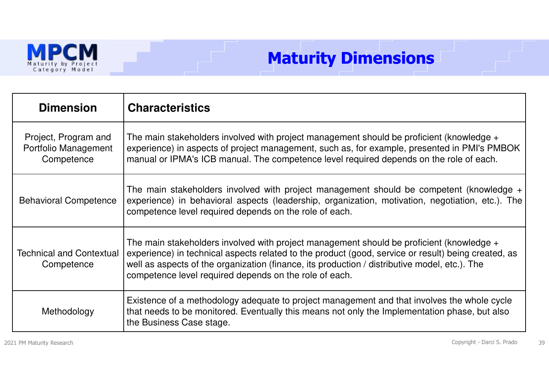

# **Maturity Dimensions**

| <b>Dimension</b>                                           | <b>Characteristics</b>                                                                                                                                                                                                                                                                                                                                       |
|------------------------------------------------------------|--------------------------------------------------------------------------------------------------------------------------------------------------------------------------------------------------------------------------------------------------------------------------------------------------------------------------------------------------------------|
| Project, Program and<br>Portfolio Management<br>Competence | The main stakeholders involved with project management should be proficient (knowledge $+$<br>experience) in aspects of project management, such as, for example, presented in PMI's PMBOK<br>manual or IPMA's ICB manual. The competence level required depends on the role of each.                                                                        |
| <b>Behavioral Competence</b>                               | The main stakeholders involved with project management should be competent (knowledge $+$<br>experience) in behavioral aspects (leadership, organization, motivation, negotiation, etc.). The<br>competence level required depends on the role of each.                                                                                                      |
| <b>Technical and Contextual</b><br>Competence              | The main stakeholders involved with project management should be proficient (knowledge $+$<br>experience) in technical aspects related to the product (good, service or result) being created, as<br>well as aspects of the organization (finance, its production / distributive model, etc.). The<br>competence level required depends on the role of each. |
| Methodology                                                | Existence of a methodology adequate to project management and that involves the whole cycle<br>that needs to be monitored. Eventually this means not only the Implementation phase, but also<br>the Business Case stage.                                                                                                                                     |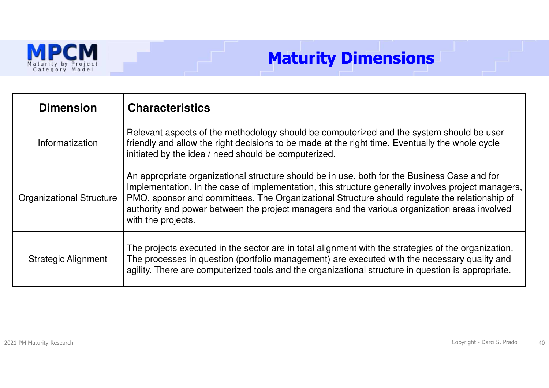

# **Maturity Dimensions**

| <b>Dimension</b>                | <b>Characteristics</b>                                                                                                                                                                                                                                                                                                                                                                                                    |
|---------------------------------|---------------------------------------------------------------------------------------------------------------------------------------------------------------------------------------------------------------------------------------------------------------------------------------------------------------------------------------------------------------------------------------------------------------------------|
| Informatization                 | Relevant aspects of the methodology should be computerized and the system should be user-<br>friendly and allow the right decisions to be made at the right time. Eventually the whole cycle<br>initiated by the idea / need should be computerized.                                                                                                                                                                      |
| <b>Organizational Structure</b> | An appropriate organizational structure should be in use, both for the Business Case and for<br>Implementation. In the case of implementation, this structure generally involves project managers,<br>PMO, sponsor and committees. The Organizational Structure should regulate the relationship of<br>authority and power between the project managers and the various organization areas involved<br>with the projects. |
| <b>Strategic Alignment</b>      | The projects executed in the sector are in total alignment with the strategies of the organization.<br>The processes in question (portfolio management) are executed with the necessary quality and<br>agility. There are computerized tools and the organizational structure in question is appropriate.                                                                                                                 |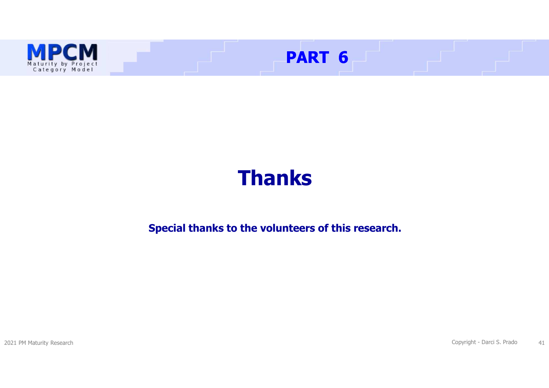

# **Thanks**

### **Special thanks to the volunteers of this research.**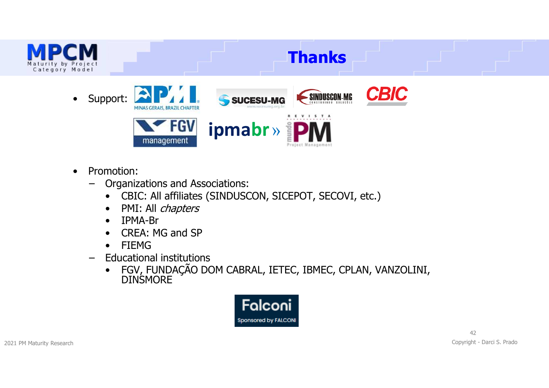

- • Promotion:
	- – Organizations and Associations:
		- •CBIC: All affiliates (SINDUSCON, SICEPOT, SECOVI, etc.)
		- •PMI: All *chapters*<br>IPMA-Br
		- •IPMA-Br<br>CRF∆∙ M
		- •CREA: MG and SP<br>FIFMG
		- •
	- FIEMG<br>Educational institutions –Educational institutions<br>• EGV EUNDACÃO De
		- •FGV, FUNDAÇÃO DOM CABRAL, IETEC, IBMEC, CPLAN, VANZOLINI, DINSMORE